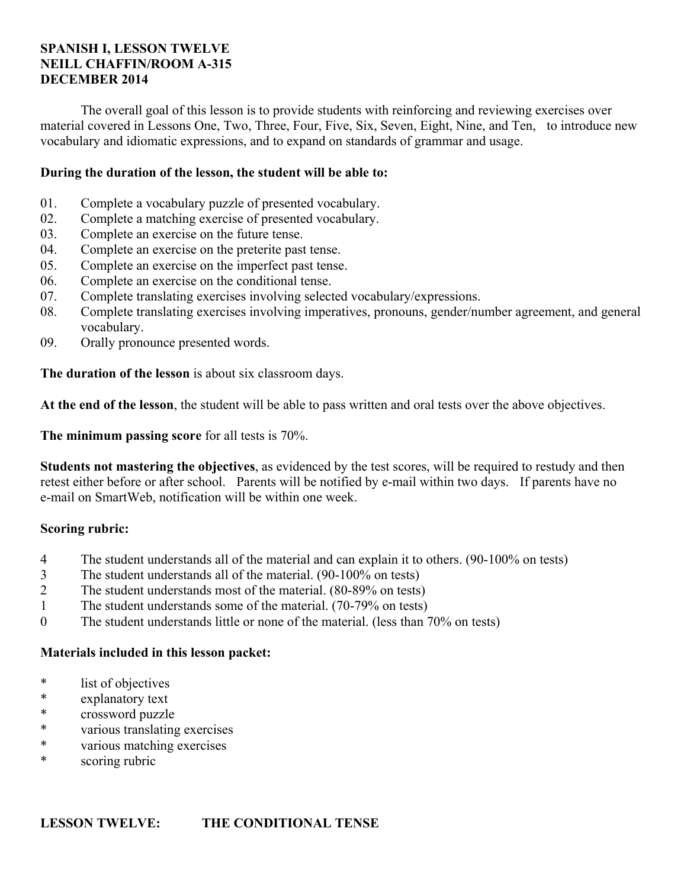# **SPANISH I, LESSON TWELVE NEILL CHAFFIN/ROOM A-315 DECEMBER 2014**

 The overall goal of this lesson is to provide students with reinforcing and reviewing exercises over material covered in Lessons One, Two, Three, Four, Five, Six, Seven, Eight, Nine, and Ten, to introduce new vocabulary and idiomatic expressions, and to expand on standards of grammar and usage.

# **During the duration of the lesson, the student will be able to:**

- 01. Complete a vocabulary puzzle of presented vocabulary.
- 02. Complete a matching exercise of presented vocabulary.
- 03. Complete an exercise on the future tense.
- 04. Complete an exercise on the preterite past tense.
- 05. Complete an exercise on the imperfect past tense.
- 06. Complete an exercise on the conditional tense.
- 07. Complete translating exercises involving selected vocabulary/expressions.
- 08. Complete translating exercises involving imperatives, pronouns, gender/number agreement, and general vocabulary.
- 09. Orally pronounce presented words.

**The duration of the lesson** is about six classroom days.

**At the end of the lesson**, the student will be able to pass written and oral tests over the above objectives.

**The minimum passing score** for all tests is 70%.

**Students not mastering the objectives**, as evidenced by the test scores, will be required to restudy and then retest either before or after school. Parents will be notified by e-mail within two days. If parents have no e-mail on SmartWeb, notification will be within one week.

## **Scoring rubric:**

- 4 The student understands all of the material and can explain it to others. (90-100% on tests)
- 3 The student understands all of the material. (90-100% on tests)
- 2 The student understands most of the material. (80-89% on tests)
- 1 The student understands some of the material. (70-79% on tests)
- 0 The student understands little or none of the material. (less than 70% on tests)

## **Materials included in this lesson packet:**

- \* list of objectives
- explanatory text
- \* crossword puzzle
- \* various translating exercises
- \* various matching exercises
- \* scoring rubric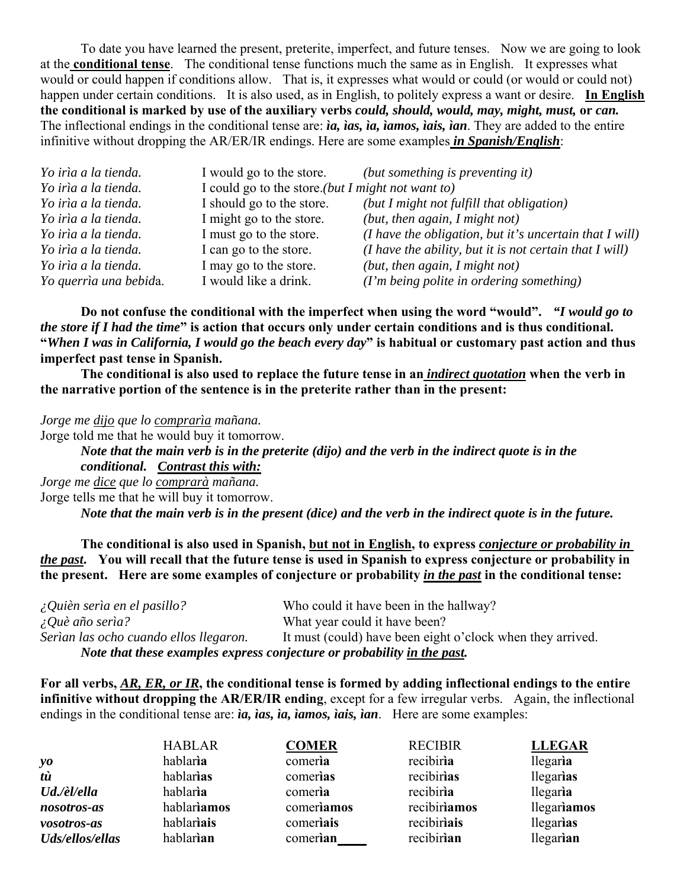To date you have learned the present, preterite, imperfect, and future tenses. Now we are going to look at the **conditional tense**. The conditional tense functions much the same as in English. It expresses what would or could happen if conditions allow. That is, it expresses what would or could (or would or could not) happen under certain conditions. It is also used, as in English, to politely express a want or desire. **In English the conditional is marked by use of the auxiliary verbs** *could, should, would, may, might, must,* **or** *can.* The inflectional endings in the conditional tense are: *ia, ias, ia, iamos, iais, ian*. They are added to the entire infinitive without dropping the AR/ER/IR endings. Here are some examples *in Spanish/English*:

| Yo irìa a la tienda.   | I would go to the store.                          | (but something is preventing it)                          |
|------------------------|---------------------------------------------------|-----------------------------------------------------------|
| Yo irìa a la tienda.   | I could go to the store.(but I might not want to) |                                                           |
| Yo irìa a la tienda.   | I should go to the store.                         | (but I might not fulfill that obligation)                 |
| Yo irìa a la tienda.   | I might go to the store.                          | (but, then again, $I$ might not)                          |
| Yo irìa a la tienda.   | I must go to the store.                           | (I have the obligation, but it's uncertain that $I$ will) |
| Yo irìa a la tienda.   | I can go to the store.                            | (I have the ability, but it is not certain that I will)   |
| Yo irìa a la tienda.   | I may go to the store.                            | (but, then again, $I$ might not)                          |
| Yo querrìa una bebida. | I would like a drink.                             | (I'm being polite in ordering something)                  |

 **Do not confuse the conditional with the imperfect when using the word "would".** *"I would go to the store if I had the time***" is action that occurs only under certain conditions and is thus conditional. "***When I was in California, I would go the beach every day***" is habitual or customary past action and thus imperfect past tense in Spanish.**

**The conditional is also used to replace the future tense in an** *indirect quotation* **when the verb in the narrative portion of the sentence is in the preterite rather than in the present:**

*Jorge me dijo que lo comprarìa mañana.*

Jorge told me that he would buy it tomorrow.

*Note that the main verb is in the preterite (dijo) and the verb in the indirect quote is in the conditional. Contrast this with:*

*Jorge me dice que lo comprarà mañana.* Jorge tells me that he will buy it tomorrow. *Note that the main verb is in the present (dice) and the verb in the indirect quote is in the future.*

**The conditional is also used in Spanish, but not in English, to express** *conjecture or probability in the past***. You will recall that the future tense is used in Spanish to express conjecture or probability in the present. Here are some examples of conjecture or probability** *in the past* **in the conditional tense:**

| $\Omega$ Quièn serìa en el pasillo?                                     | Who could it have been in the hallway?                     |  |
|-------------------------------------------------------------------------|------------------------------------------------------------|--|
| $\angle Q$ uè año serìa?                                                | What year could it have been?                              |  |
| Serìan las ocho cuando ellos llegaron.                                  | It must (could) have been eight o'clock when they arrived. |  |
| Note that these examples express conjecture or probability in the past. |                                                            |  |

**For all verbs,** *AR, ER, or IR***, the conditional tense is formed by adding inflectional endings to the entire infinitive without dropping the AR/ER/IR ending**, except for a few irregular verbs. Again, the inflectional endings in the conditional tense are: *ia, ias, ia, iamos, iais, ian*. Here are some examples:

|                 | <b>HABLAR</b> | <b>COMER</b> | <b>RECIBIR</b> | <b>LLEGAR</b> |
|-----------------|---------------|--------------|----------------|---------------|
| yo              | hablaria      | comeria      | recibiria      | llegaria      |
| tù              | hablarias     | comerias     | recibirias     | llegarias     |
| Ud./èl/ella     | hablaria      | comeria      | recibiria      | llegaria      |
| nosotros-as     | hablariamos   | comeriamos   | recibiriamos   | llegariamos   |
| vosotros-as     | hablariais    | comeriais    | recibiriais    | llegarias     |
| Uds/ellos/ellas | hablarian     | comerian     | recibirian     | llegarian     |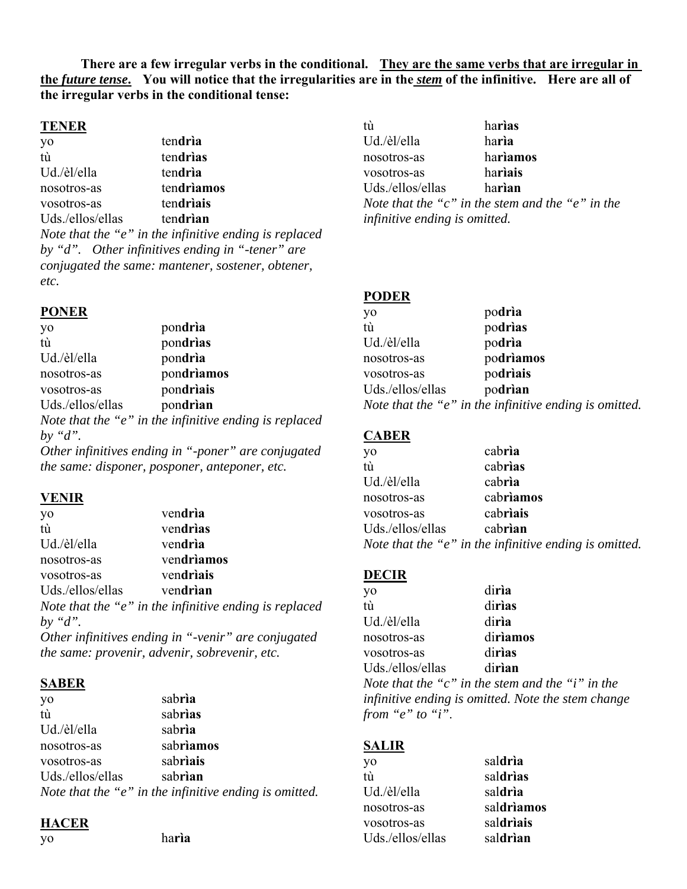**There are a few irregular verbs in the conditional. They are the same verbs that are irregular in the** *future tense***. You will notice that the irregularities are in the** *stem* **of the infinitive. Here are all of the irregular verbs in the conditional tense:**

#### **TENER**

yo ten**drìa** tù ten**drìas** Ud./èl/ella ten**drìa** nosotros-as ten**drìamos** vosotros-as ten**drìais** Uds./ellos/ellas ten**drìan** *Note that the "e" in the infinitive ending is replaced by "d". Other infinitives ending in "-tener" are conjugated the same: mantener, sostener, obtener,* 

# **PONER**

*etc.*

| yo               | pondria                                                |
|------------------|--------------------------------------------------------|
| tù               | pondrias                                               |
| Ud./èl/ella      | pondria                                                |
| nosotros-as      | pondriamos                                             |
| vosotros-as      | pondriais                                              |
| Uds./ellos/ellas | pondrian                                               |
|                  | Note that the "e" in the infinitive ending is replaced |

*by "d".*

*Other infinitives ending in "-poner" are conjugated the same: disponer, posponer, anteponer, etc.*

#### **VENIR**

| yo               | vendria                                                    |
|------------------|------------------------------------------------------------|
| tù               | vendrias                                                   |
| Ud./èl/ella      | vendria                                                    |
| nosotros-as      | vendriamos                                                 |
| vosotros-as      | vendriais                                                  |
| Uds./ellos/ellas | vendrian                                                   |
|                  | Note that the " $e$ " in the infinitive ending is replaced |
| by " $d$ ".      |                                                            |
|                  | Other infinitives ending in "-venir" are conjugated        |
|                  | the same: provenir, advenir, sobrevenir, etc.              |

#### **SABER**

| yo               | sabria                                                 |
|------------------|--------------------------------------------------------|
| tù               | sabrias                                                |
| Ud./èl/ella      | sabria                                                 |
| nosotros-as      | sabriamos                                              |
| vosotros-as      | sabriais                                               |
| Uds./ellos/ellas | sabrian                                                |
|                  | Note that the "e" in the infinitive ending is omitted. |

#### **HACER**

yo ha**rìa**

| tù               | harias                                           |
|------------------|--------------------------------------------------|
| Ud./èl/ella      | harìa                                            |
| nosotros-as      | hariamos                                         |
| vosotros-as      | hariais                                          |
| Uds./ellos/ellas | harian                                           |
|                  | Note that the "c" in the stem and the "e" in the |

*infinitive ending is omitted.*

#### **PODER**

| yo               | podrìa                                                     |
|------------------|------------------------------------------------------------|
| tù               | podrias                                                    |
| Ud./èl/ella      | podrìa                                                     |
| nosotros-as      | podriamos                                                  |
| vosotros-as      | podriais                                                   |
| Uds./ellos/ellas | podrian                                                    |
|                  | Note that the " $e$ " in the infinitive ending is omitted. |

## **CABER**

| yo               | cabria                                                 |
|------------------|--------------------------------------------------------|
| tù               | cabrias                                                |
| Ud./èl/ella      | cabria                                                 |
| nosotros-as      | cabriamos                                              |
| vosotros-as      | cabriais                                               |
| Uds./ellos/ellas | cabrian                                                |
|                  | Note that the "e" in the infinitive ending is omitted. |

## **DECIR**

| diria                                              |
|----------------------------------------------------|
| dirias                                             |
| diria                                              |
| diriamos                                           |
| dirias                                             |
| dirian                                             |
| Note that the "c" in the stem and the "i" in the   |
| infinitive ending is omitted. Note the stem change |
|                                                    |
|                                                    |

#### **SALIR**

| yo               | saldria    |
|------------------|------------|
| tù               | saldrias   |
| Ud./èl/ella      | saldria    |
| nosotros-as      | saldriamos |
| vosotros-as      | saldriais  |
| Uds./ellos/ellas | saldrian   |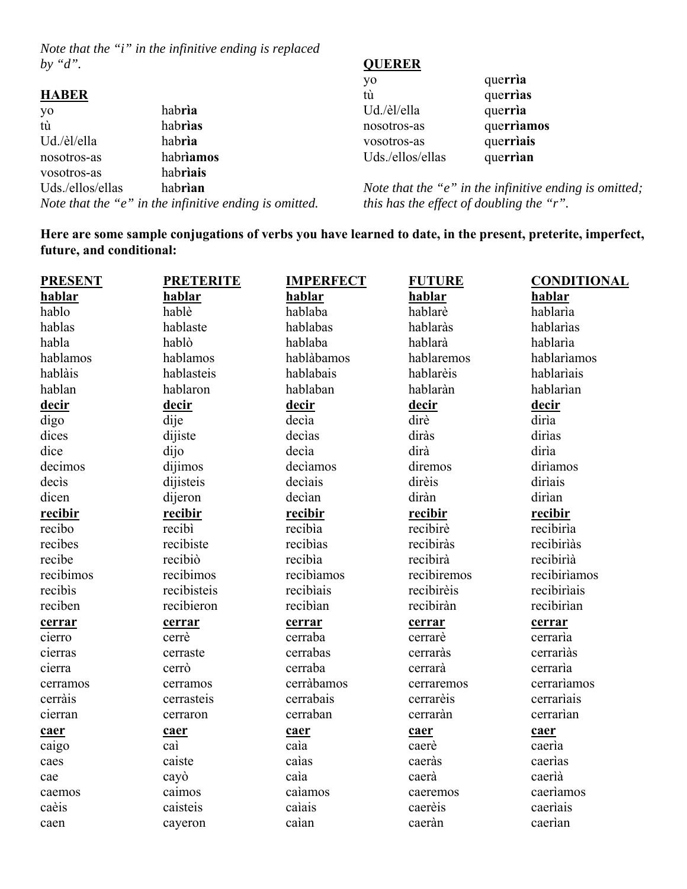*Note that the "i" in the infinitive ending is replaced by "d".*

# **HABER**

| yo               | habria                                                 |
|------------------|--------------------------------------------------------|
| tù               | habrias                                                |
| Ud./èl/ella      | habria                                                 |
| nosotros-as      | habriamos                                              |
| vosotros-as      | habriais                                               |
| Uds./ellos/ellas | habrian                                                |
|                  | Note that the "e" in the infinitive ending is omitted. |
|                  |                                                        |

# **QUERER**

| yo               | querria    |
|------------------|------------|
| tù               | querrias   |
| Ud./èl/ella      | querria    |
| nosotros-as      | querriamos |
| vosotros-as      | querriais  |
| Uds./ellos/ellas | querrian   |

*Note that the "e" in the infinitive ending is omitted; this has the effect of doubling the "r".*

**Here are some sample conjugations of verbs you have learned to date, in the present, preterite, imperfect, future, and conditional:**

| <b>PRESENT</b> | <b>PRETERITE</b> | <b>IMPERFECT</b> | <b>FUTURE</b> | <b>CONDITIONAL</b> |
|----------------|------------------|------------------|---------------|--------------------|
| hablar         | hablar           | hablar           | hablar        | hablar             |
| hablo          | hablè            | hablaba          | hablarè       | hablaria           |
| hablas         | hablaste         | hablabas         | hablaràs      | hablarias          |
| habla          | hablò            | hablaba          | hablarà       | hablarìa           |
| hablamos       | hablamos         | hablàbamos       | hablaremos    | hablariamos        |
| hablàis        | hablasteis       | hablabais        | hablarèis     | hablariais         |
| hablan         | hablaron         | hablaban         | hablaràn      | hablarìan          |
| decir          | decir            | <u>decir</u>     | <u>decir</u>  | decir              |
| digo           | dije             | decìa            | dirè          | diria              |
| dices          | dijiste          | declas           | diràs         | dirias             |
| dice           | dijo             | decìa            | dirà          | dirìa              |
| decimos        | dijimos          | declamos         | diremos       | diriamos           |
| decis          | dijisteis        | declais          | dirèis        | diriais            |
| dicen          | dijeron          | decìan           | diràn         | dirìan             |
| recibir        | recibir          | recibir          | recibir       | recibir            |
| recibo         | recibì           | recibìa          | recibirè      | recibirìa          |
| recibes        | recibiste        | recibias         | recibiràs     | recibirìàs         |
| recibe         | recibiò          | recibia          | recibirà      | recibirìà          |
| recibimos      | recibimos        | recibiamos       | recibiremos   | recibiriamos       |
| recibis        | recibisteis      | recibiais        | recibirèis    | recibiriais        |
| reciben        | recibieron       | recibian         | recibiràn     | recibirìan         |
| cerrar         | cerrar           | cerrar           | cerrar        | cerrar             |
| cierro         | cerrè            | cerraba          | cerrarè       | cerraria           |
| cierras        | cerraste         | cerrabas         | cerraràs      | cerrariàs          |
| cierra         | cerrò            | cerraba          | cerrarà       | cerraria           |
| cerramos       | cerramos         | cerràbamos       | cerraremos    | cerrariamos        |
| cerràis        | cerrasteis       | cerrabais        | cerrarèis     | cerrariais         |
| cierran        | cerraron         | cerraban         | cerraràn      | cerrarian          |
| caer           | caer             | caer             | caer          | caer               |
| caigo          | caì              | caia             | caerè         | caeria             |
| caes           | caiste           | caìas            | caeràs        | caerias            |
| cae            | cayò             | caìa             | caerà         | caerià             |
| caemos         | caimos           | calamos          | caeremos      | caeriamos          |
| caèis          | caisteis         | caìais           | caerèis       | caeriais           |
| caen           | cayeron          | caìan            | caeràn        | caerian            |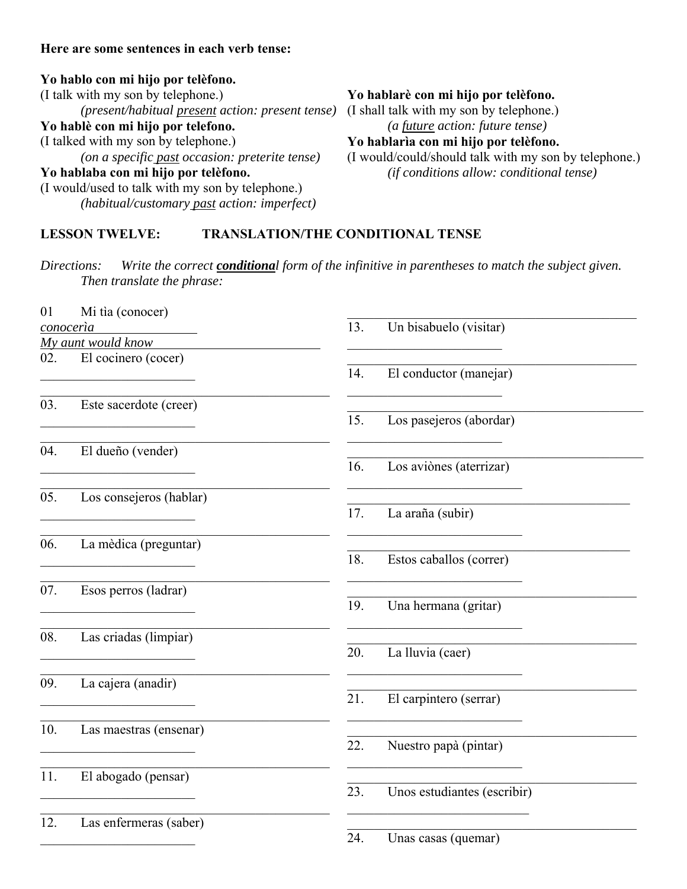# **Here are some sentences in each verb tense:**

# **Yo hablo con mi hijo por telèfono.**

(I talk with my son by telephone.) *(present/habitual present action: present tense)* **Yo hablè con mi hijo por telefono.** (I talked with my son by telephone.) *(on a specific past occasion: preterite tense)* **Yo hablaba con mi hijo por telèfono.** (I would/used to talk with my son by telephone.) *(habitual/customary past action: imperfect)*

# **Yo hablarè con mi hijo por telèfono.**

(I shall talk with my son by telephone.) *(a future action: future tense)* **Yo hablarìa con mi hijo por telèfono.**

(I would/could/should talk with my son by telephone.) *(if conditions allow: conditional tense)*

# **LESSON TWELVE: TRANSLATION/THE CONDITIONAL TENSE**

*Directions: Write the correct conditional form of the infinitive in parentheses to match the subject given. Then translate the phrase:*

| 01  | Mi tìa (conocer)        |                                    |
|-----|-------------------------|------------------------------------|
|     | conocería               | Un bisabuelo (visitar)<br>13.      |
|     | My aunt would know      |                                    |
| 02. | El cocinero (cocer)     |                                    |
|     |                         | 14.<br>El conductor (manejar)      |
| 03. | Este sacerdote (creer)  | 15.                                |
|     |                         | Los pasejeros (abordar)            |
| 04. | El dueño (vender)       |                                    |
|     |                         | Los aviònes (aterrizar)<br>16.     |
| 05. | Los consejeros (hablar) |                                    |
|     |                         | 17.<br>La araña (subir)            |
| 06. | La mèdica (preguntar)   |                                    |
|     |                         | 18.<br>Estos caballos (correr)     |
| 07. | Esos perros (ladrar)    |                                    |
|     |                         | 19.<br>Una hermana (gritar)        |
| 08. | Las criadas (limpiar)   |                                    |
|     |                         | 20.<br>La lluvia (caer)            |
| 09. | La cajera (anadir)      |                                    |
|     |                         | 21.<br>El carpintero (serrar)      |
| 10. | Las maestras (ensenar)  |                                    |
|     |                         | 22.<br>Nuestro papà (pintar)       |
| 11. | El abogado (pensar)     |                                    |
|     |                         | 23.<br>Unos estudiantes (escribir) |
| 12. | Las enfermeras (saber)  |                                    |
|     |                         | 24.<br>Unas casas (quemar)         |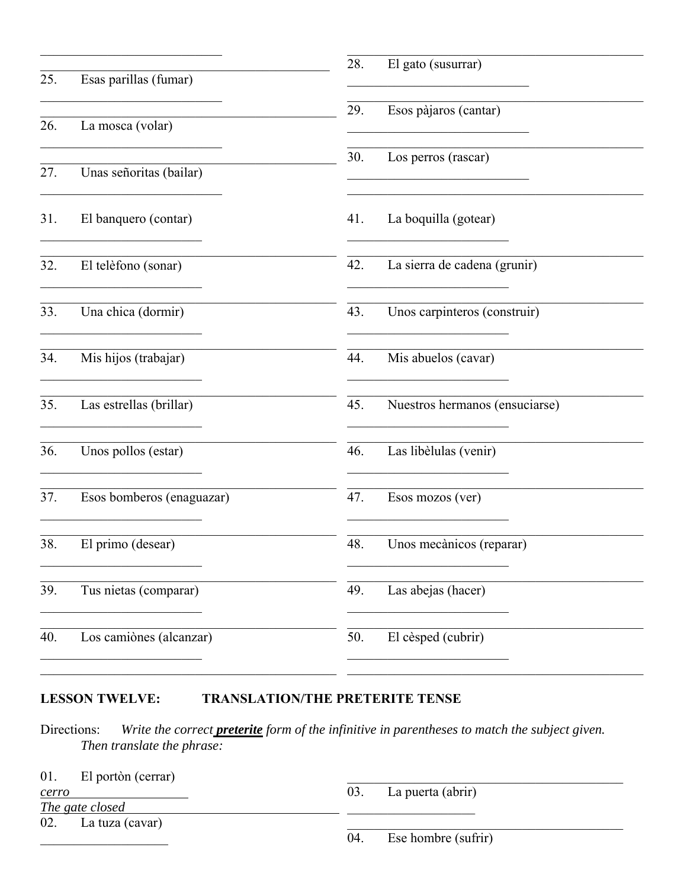| 25. | Esas parillas (fumar)     | El gato (susurrar)<br>28.             |
|-----|---------------------------|---------------------------------------|
|     |                           |                                       |
| 26. | La mosca (volar)          | Esos pàjaros (cantar)<br>29.          |
| 27. | Unas señoritas (bailar)   | Los perros (rascar)<br>30.            |
| 31. | El banquero (contar)      | La boquilla (gotear)<br>41.           |
| 32. | El telèfono (sonar)       | 42.<br>La sierra de cadena (grunir)   |
| 33. | Una chica (dormir)        | Unos carpinteros (construir)<br>43.   |
| 34. | Mis hijos (trabajar)      | 44.<br>Mis abuelos (cavar)            |
| 35. | Las estrellas (brillar)   | 45.<br>Nuestros hermanos (ensuciarse) |
| 36. | Unos pollos (estar)       | Las libèlulas (venir)<br>46.          |
| 37. | Esos bomberos (enaguazar) | 47.<br>Esos mozos (ver)               |
| 38. | El primo (desear)         | Unos mecànicos (reparar)<br>48.       |
| 39. | Tus nietas (comparar)     | Las abejas (hacer)<br>49.             |
| 40. | Los camiònes (alcanzar)   | El cèsped (cubrir)<br>50.             |
|     |                           |                                       |

#### **LESSON TWELVE:** TRANSLATION/THE PRETERITE TENSE

Write the correct **preterite** form of the infinitive in parentheses to match the subject given. Directions: Then translate the phrase:

| 01.<br>El portòn (cerrar) |                            |
|---------------------------|----------------------------|
| cerro                     | 03.<br>La puerta (abrir)   |
| The gate closed           |                            |
| 02. La tuza (cavar)       |                            |
|                           | Ese hombre (sufrir)<br>04. |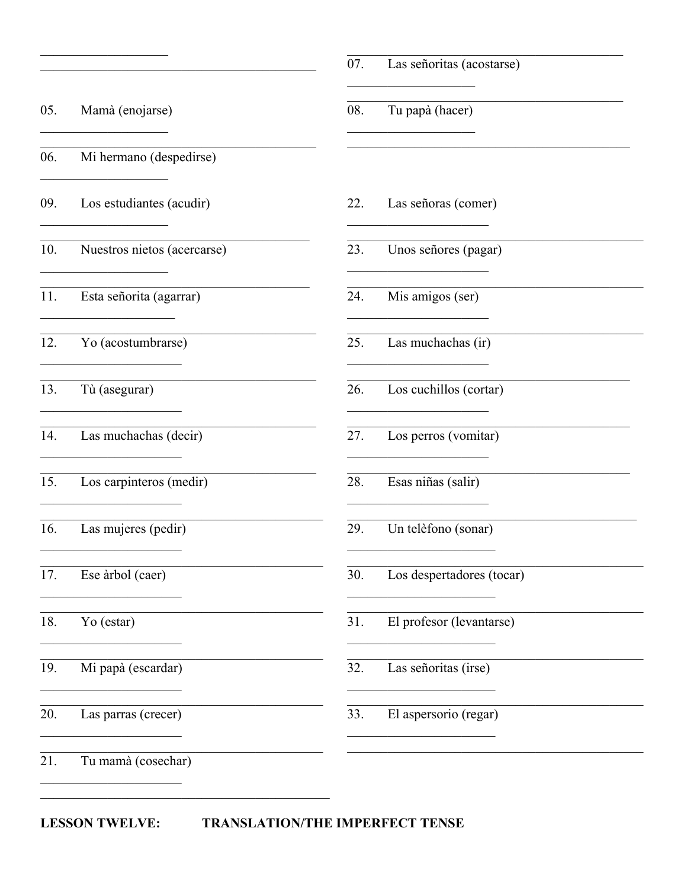| Mamà (enojarse)<br><b>Contract Contract Contract</b><br>Mi hermano (despedirse) | 08.                                                                                                      | Tu papà (hacer)                                                                                                                               |
|---------------------------------------------------------------------------------|----------------------------------------------------------------------------------------------------------|-----------------------------------------------------------------------------------------------------------------------------------------------|
|                                                                                 |                                                                                                          | <u> 1989 - Johann Stone, markin</u>                                                                                                           |
|                                                                                 |                                                                                                          |                                                                                                                                               |
| Los estudiantes (acudir)                                                        | 22.                                                                                                      | Las señoras (comer)                                                                                                                           |
| Nuestros nietos (acercarse)                                                     | 23.                                                                                                      | Unos señores (pagar)                                                                                                                          |
| Esta señorita (agarrar)                                                         | 24.                                                                                                      | Mis amigos (ser)                                                                                                                              |
| Yo (acostumbrarse)                                                              | 25.                                                                                                      | Las muchachas (ir)                                                                                                                            |
| Tù (asegurar)                                                                   | 26.                                                                                                      | Los cuchillos (cortar)                                                                                                                        |
| Las muchachas (decir)                                                           | 27.                                                                                                      | Los perros (vomitar)<br><u> 1990 - Johann Barnett, martin a</u>                                                                               |
| Los carpinteros (medir)                                                         | 28.                                                                                                      | Esas niñas (salir)                                                                                                                            |
| Las mujeres (pedir)                                                             | 29.                                                                                                      | Un telèfono (sonar)                                                                                                                           |
| Ese àrbol (caer)                                                                | 30.                                                                                                      | Los despertadores (tocar)                                                                                                                     |
| Yo (estar)                                                                      | 31.                                                                                                      | El profesor (levantarse)                                                                                                                      |
| Mi papà (escardar)                                                              | 32.                                                                                                      | Las señoritas (irse)                                                                                                                          |
| Las parras (crecer)                                                             | 33.                                                                                                      | El aspersorio (regar)<br><u> 1980 - Johann Barbara, martin din shekara 1980 - Amerikaan kalendari dhe shekara 1980 - Amerikaan kalendari </u> |
| Tu mamà (cosechar)                                                              |                                                                                                          |                                                                                                                                               |
|                                                                                 | <u> 1980 - Johann Stoff, fransk politik (d. 1980)</u><br><u> 1990 - Johann Barnett, fransk politiker</u> |                                                                                                                                               |

LESSON TWELVE: TRANSLATION/THE IMPERFECT TENSE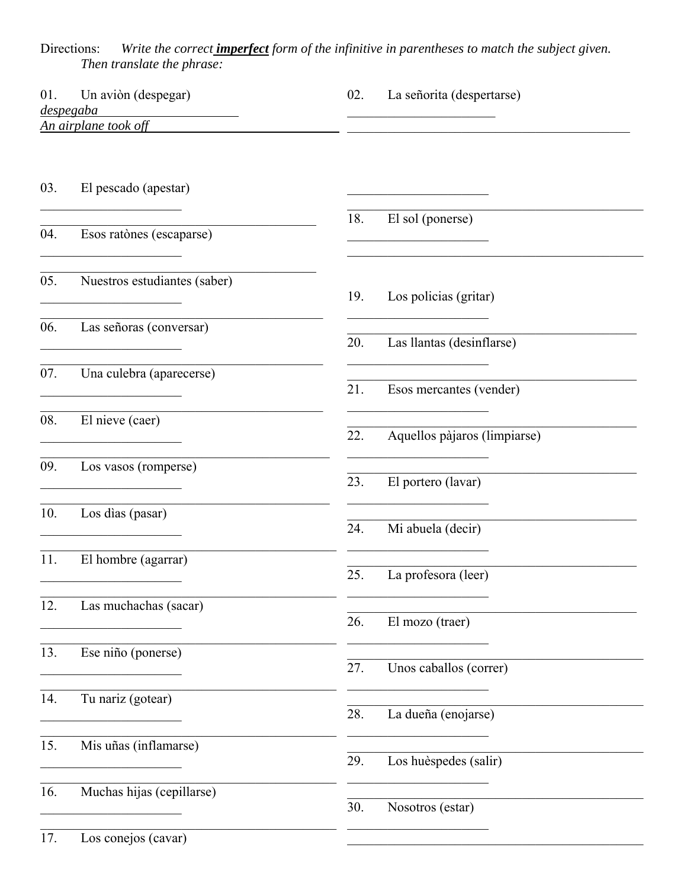Directions: Write the correct **imperfect** form of the infinitive in parentheses to match the subject given.<br>Then translate the phrase:

| Un aviòn (despegar)<br>01.<br>despegaba |                                                                           | 02. | La señorita (despertarse)                                               |
|-----------------------------------------|---------------------------------------------------------------------------|-----|-------------------------------------------------------------------------|
|                                         | An airplane took off                                                      |     | the control of the control of the control of                            |
| 03.                                     | El pescado (apestar)                                                      |     |                                                                         |
| 04.                                     | Esos ratònes (escaparse)                                                  | 18. | El sol (ponerse)                                                        |
| 05.                                     | Nuestros estudiantes (saber)                                              | 19. | Los policias (gritar)                                                   |
| 06.                                     | Las señoras (conversar)                                                   | 20. | Las llantas (desinflarse)                                               |
| 07.                                     | Una culebra (aparecerse)<br><u> 1990 - Johann Barbara, martxa al</u>      | 21. | Esos mercantes (vender)                                                 |
| 08.                                     | El nieve (caer)                                                           | 22. | Aquellos pàjaros (limpiarse)                                            |
| 09.                                     | Los vasos (romperse)<br><u> 1989 - Johann John Stone, mars eta bainar</u> | 23. | El portero (lavar)                                                      |
| 10.                                     | Los dias (pasar)                                                          | 24. | <u> 1950 - Johann John Stone, martin de Brasil</u><br>Mi abuela (decir) |
| 11.                                     | El hombre (agarrar)                                                       | 25. | La profesora (leer)                                                     |
| 12.                                     | Las muchachas (sacar)                                                     | 26. | El mozo (traer)                                                         |
| 13.                                     | Ese niño (ponerse)                                                        | 27. | Unos caballos (correr)                                                  |
| 14.                                     | Tu nariz (gotear)                                                         | 28. | La dueña (enojarse)                                                     |
| 15.                                     | Mis uñas (inflamarse)                                                     | 29. | Los huèspedes (salir)                                                   |
| 16.                                     | Muchas hijas (cepillarse)                                                 | 30. | Nosotros (estar)                                                        |
| 17.                                     | Los conejos (cavar)                                                       |     |                                                                         |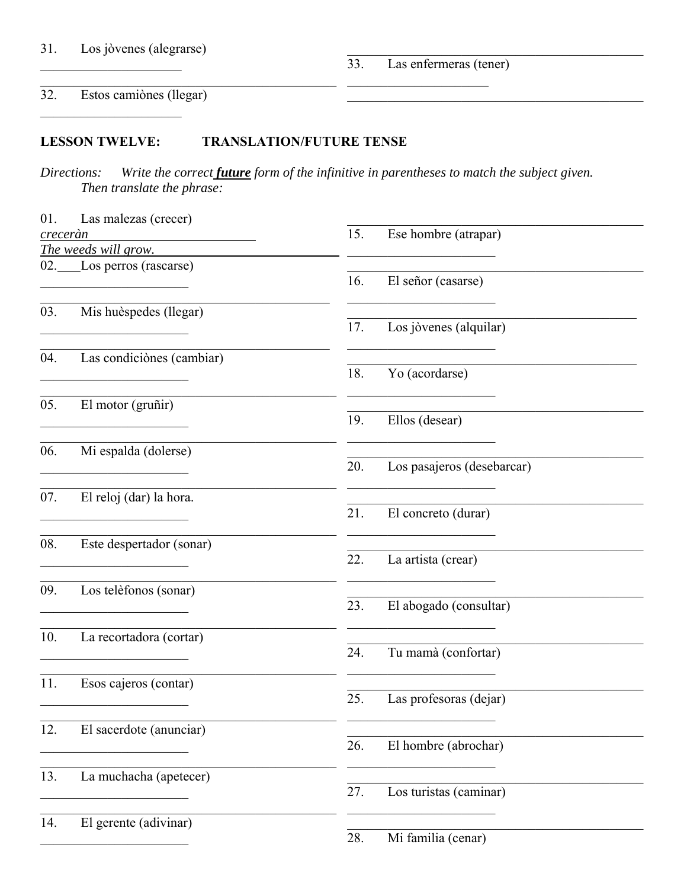$\overline{33}$ . Las enfermeras (tener)

#### $\overline{32.}$ Estos camiònes (llegar)

#### **LESSON TWELVE: TRANSLATION/FUTURE TENSE**

Write the correct *future* form of the infinitive in parentheses to match the subject given. Directions: Then translate the phrase:

| 01.      | Las malezas (crecer)      |                                                                                                                                                                                                                                      |
|----------|---------------------------|--------------------------------------------------------------------------------------------------------------------------------------------------------------------------------------------------------------------------------------|
| creceràn |                           | 15.<br>Ese hombre (atrapar)                                                                                                                                                                                                          |
|          | The weeds will grow.      |                                                                                                                                                                                                                                      |
|          | 02. Los perros (rascarse) |                                                                                                                                                                                                                                      |
|          |                           | 16.<br>El señor (casarse)                                                                                                                                                                                                            |
|          |                           |                                                                                                                                                                                                                                      |
| 03.      | Mis huèspedes (llegar)    |                                                                                                                                                                                                                                      |
|          |                           | 17.<br>Los jòvenes (alquilar)                                                                                                                                                                                                        |
|          |                           |                                                                                                                                                                                                                                      |
| 04.      | Las condiciònes (cambiar) |                                                                                                                                                                                                                                      |
|          |                           | 18.<br>Yo (acordarse)                                                                                                                                                                                                                |
| 05.      | El motor (gruñir)         |                                                                                                                                                                                                                                      |
|          |                           | 19.<br>Ellos (desear)                                                                                                                                                                                                                |
|          |                           |                                                                                                                                                                                                                                      |
| 06.      | Mi espalda (dolerse)      |                                                                                                                                                                                                                                      |
|          |                           | Los pasajeros (desebarcar)<br>20.                                                                                                                                                                                                    |
|          |                           | <u> 1989 - Jan Stein Stein Stein Stein Stein Stein Stein Stein Stein Stein Stein Stein Stein Stein Stein Stein Stein Stein Stein Stein Stein Stein Stein Stein Stein Stein Stein Stein Stein Stein Stein Stein Stein Stein Stein</u> |
| 07.      | El reloj (dar) la hora.   |                                                                                                                                                                                                                                      |
|          |                           | 21.<br>El concreto (durar)                                                                                                                                                                                                           |
|          |                           |                                                                                                                                                                                                                                      |
| 08.      | Este despertador (sonar)  |                                                                                                                                                                                                                                      |
|          |                           | 22.<br>La artista (crear)                                                                                                                                                                                                            |
| 09.      | Los telèfonos (sonar)     |                                                                                                                                                                                                                                      |
|          |                           | El abogado (consultar)<br>23.                                                                                                                                                                                                        |
|          |                           |                                                                                                                                                                                                                                      |
| 10.      | La recortadora (cortar)   |                                                                                                                                                                                                                                      |
|          |                           | 24.<br>Tu mamà (confortar)                                                                                                                                                                                                           |
|          |                           |                                                                                                                                                                                                                                      |
| 11.      | Esos cajeros (contar)     |                                                                                                                                                                                                                                      |
|          |                           | Las profesoras (dejar)<br>25.                                                                                                                                                                                                        |
|          |                           |                                                                                                                                                                                                                                      |
| 12.      | El sacerdote (anunciar)   |                                                                                                                                                                                                                                      |
|          |                           | 26.<br>El hombre (abrochar)                                                                                                                                                                                                          |
|          |                           |                                                                                                                                                                                                                                      |
| 13.      | La muchacha (apetecer)    | Los turistas (caminar)<br>27.                                                                                                                                                                                                        |
|          |                           |                                                                                                                                                                                                                                      |
| 14.      | El gerente (adivinar)     |                                                                                                                                                                                                                                      |
|          |                           | 28.<br>Mi familia (cenar)                                                                                                                                                                                                            |
|          |                           |                                                                                                                                                                                                                                      |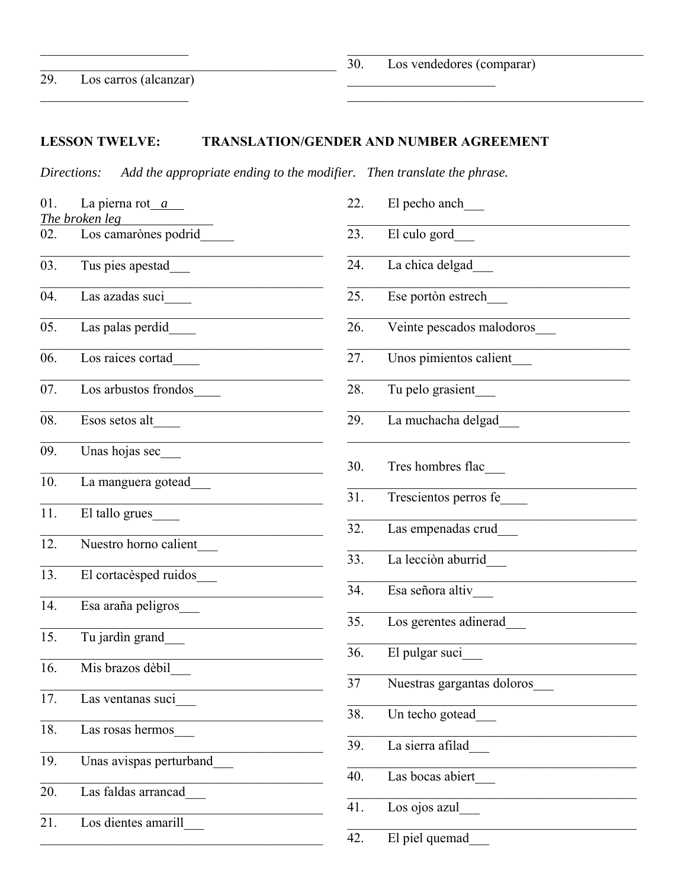# **LESSON TWELVE: TRANSLATION/GENDER AND NUMBER AGREEMENT**

*Directions: Add the appropriate ending to the modifier. Then translate the phrase.* 

| 01. | La pierna rot $a$       | 22. | El pecho anch              |
|-----|-------------------------|-----|----------------------------|
|     | The broken leg          |     |                            |
| 02. | Los camarònes podrid    | 23. | El culo gord               |
| 03. | Tus pies apestad_       | 24. | La chica delgad            |
| 04. | Las azadas suci         | 25. | Ese portòn estrech         |
| 05. | Las palas perdid        | 26. | Veinte pescados malodoros  |
| 06. | Los raices cortad       | 27. | Unos pimientos calient     |
| 07. | Los arbustos frondos    | 28. | Tu pelo grasient           |
| 08. | Esos setos alt          | 29. | La muchacha delgad         |
| 09. | Unas hojas sec          |     |                            |
| 10. | La manguera gotead      | 30. | Tres hombres flac          |
|     |                         | 31. | Trescientos perros fe      |
| 11. | El tallo grues          | 32. | Las empenadas crud         |
| 12. | Nuestro horno calient   |     |                            |
| 13. | El cortacèsped ruidos   | 33. | La lecciòn aburrid         |
|     |                         | 34. | Esa señora altiv           |
| 14. | Esa araña peligros      | 35. | Los gerentes adinerad      |
| 15. | Tu jardin grand         |     |                            |
| 16. | Mis brazos dèbil        | 36. | El pulgar suci             |
|     |                         | 37  | Nuestras gargantas doloros |
| 17. | Las ventanas suci       | 38. | Un techo gotead            |
| 18. | Las rosas hermos        |     |                            |
| 19. | Unas avispas perturband | 39. | La sierra afilad           |
|     |                         | 40. | Las bocas abiert           |
| 20. | Las faldas arrancad     | 41. | Los ojos azul              |
| 21. | Los dientes amarill     |     |                            |
|     |                         | 42. | El piel quemad_            |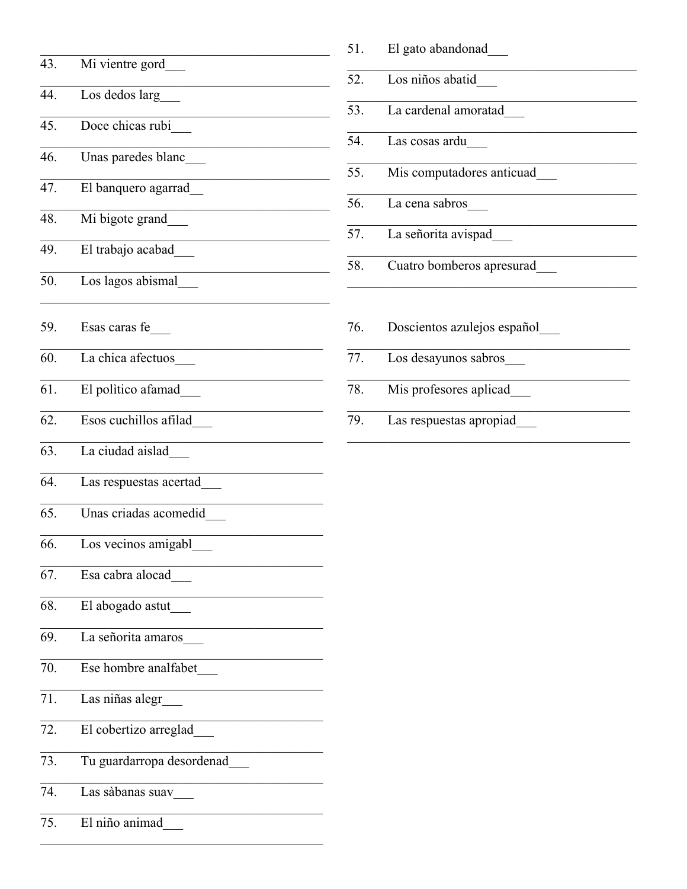| 43. | Mi vientre gord           |
|-----|---------------------------|
| 44. | Los dedos larg            |
| 45. | Doce chicas rubi          |
| 46. | Unas paredes blanc        |
| 47. | El banquero agarrad       |
| 48. | Mi bigote grand           |
| 49. | El trabajo acabad         |
| 50. | Los lagos abismal         |
| 59. | Esas caras fe             |
| 60. | La chica afectuos         |
| 61. | El politico afamad_       |
| 62. | Esos cuchillos afilad     |
| 63. | La ciudad aislad          |
| 64. | Las respuestas acertad    |
| 65. | Unas criadas acomedid     |
| 66. | Los vecinos amigabl       |
| 67. | Esa cabra alocad          |
| 68. | El abogado astut          |
| 69. | La señorita amaros        |
| 70. | Ese hombre analfabet      |
| 71. | Las niñas alegr           |
| 72. | El cobertizo arreglad     |
| 73. | Tu guardarropa desordenad |
| 74. | Las sàbanas suav          |
| 75. | El niño animad            |

| 51. | El gato abandonad           |
|-----|-----------------------------|
|     | 52. Los niños abatid        |
| 53. | La cardenal amoratad        |
| 54. | Las cosas ardu              |
| 55. | Mis computadores anticuad   |
| 56. | La cena sabros              |
| 57. | La señorita avispad         |
| 58. | Cuatro bomberos apresurad   |
| 76. | Doscientos azulejos español |
| 77. | Los desayunos sabros        |

- $\overline{78.}$ Mis profesores aplicad\_
- $\overline{79.}$ Las respuestas apropiad\_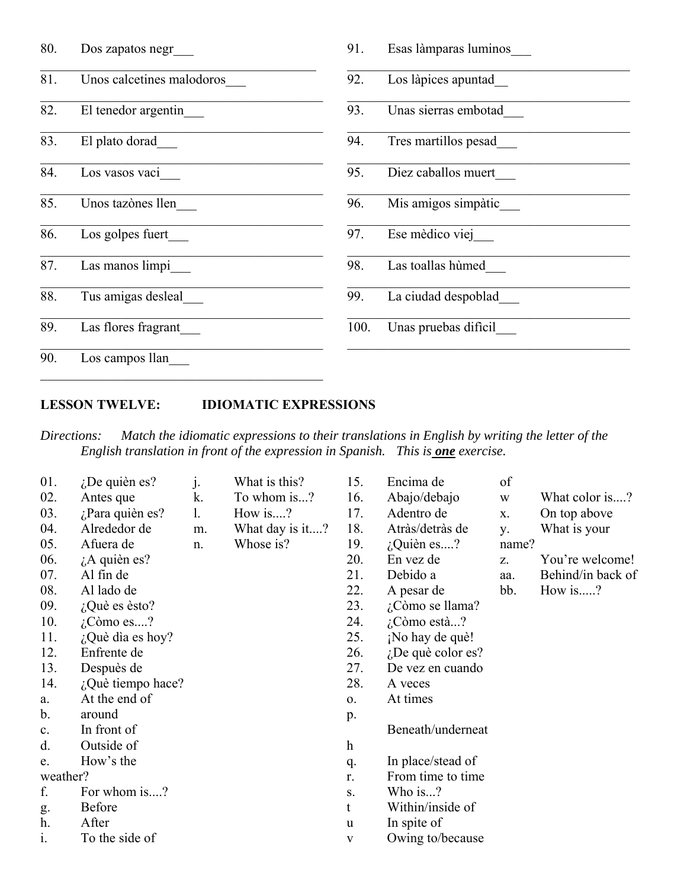| 80. | Dos zapatos negr          | 91.  | Esas làmparas luminos |
|-----|---------------------------|------|-----------------------|
| 81. | Unos calcetines malodoros | 92.  | Los làpices apuntad   |
| 82. | El tenedor argentin       | 93.  | Unas sierras embotad  |
| 83. | El plato dorad            | 94.  | Tres martillos pesad  |
| 84. | Los vasos vaci            | 95.  | Diez caballos muert   |
| 85. | Unos tazònes llen         | 96.  | Mis amigos simpàtic   |
| 86. | Los golpes fuert          | 97.  | Ese mèdico viej       |
| 87. | Las manos limpi           | 98.  | Las toallas hùmed     |
| 88. | Tus amigas desleal        | 99.  | La ciudad despoblad   |
| 89. | Las flores fragrant       | 100. | Unas pruebas dificil  |
| 90. | Los campos llan           |      |                       |

# **LESSON TWELVE: IDIOMATIC EXPRESSIONS**

*Directions: Match the idiomatic expressions to their translations in English by writing the letter of the English translation in front of the expression in Spanish. This is one exercise.*

| 01.      | $i$ De quièn es?     | j. | What is this?   | 15.                       | Encima de            | of    |                   |
|----------|----------------------|----|-----------------|---------------------------|----------------------|-------|-------------------|
| 02.      | Antes que            | k. | To whom is?     | 16.                       | Abajo/debajo         | W     | What color is?    |
| 03.      | $i$ Para quièn es?   | 1. | How is?         | 17.                       | Adentro de           | X.    | On top above      |
| 04.      | Alrededor de         | m. | What day is it? | 18.                       | Atràs/detràs de      | у.    | What is your      |
| 05.      | Afuera de            | n. | Whose is?       | 19.                       | $i$ Quièn es?        | name? |                   |
| 06.      | $\lambda$ quièn es?  |    |                 | 20.                       | En vez de            | Z.    | You're welcome!   |
| 07.      | Al fin de            |    |                 | 21.                       | Debido a             | aa.   | Behind/in back of |
| 08.      | Al lado de           |    |                 | 22.                       | A pesar de           | bb.   | How is?           |
| 09.      | $i$ Què es èsto?     |    |                 | 23.                       | ¿Còmo se llama?      |       |                   |
| 10.      | $i$ Còmo es?         |    |                 | 24.                       | $\lambda$ Còmo està? |       |                   |
| 11.      | $i$ Què dia es hoy?  |    |                 | 25.                       | ¡No hay de què!      |       |                   |
| 12.      | Enfrente de          |    |                 | 26.                       | $i$ De què color es? |       |                   |
| 13.      | Despuès de           |    |                 | 27.                       | De vez en cuando     |       |                   |
| 14.      | $i$ Què tiempo hace? |    |                 | 28.                       | A veces              |       |                   |
| a.       | At the end of        |    |                 | $\mathbf{O}$ .            | At times             |       |                   |
| b.       | around               |    |                 | p.                        |                      |       |                   |
| c.       | In front of          |    |                 |                           | Beneath/underneat    |       |                   |
| d.       | Outside of           |    |                 | $\boldsymbol{\mathrm{h}}$ |                      |       |                   |
| e.       | How's the            |    |                 | q.                        | In place/stead of    |       |                   |
| weather? |                      |    |                 | r.                        | From time to time    |       |                   |
| f.       | For whom is?         |    |                 | S.                        | Who is?              |       |                   |
| g.       | Before               |    |                 | t                         | Within/inside of     |       |                   |
| h.       | After                |    |                 | u                         | In spite of          |       |                   |
| 1.       | To the side of       |    |                 | V                         | Owing to/because     |       |                   |
|          |                      |    |                 |                           |                      |       |                   |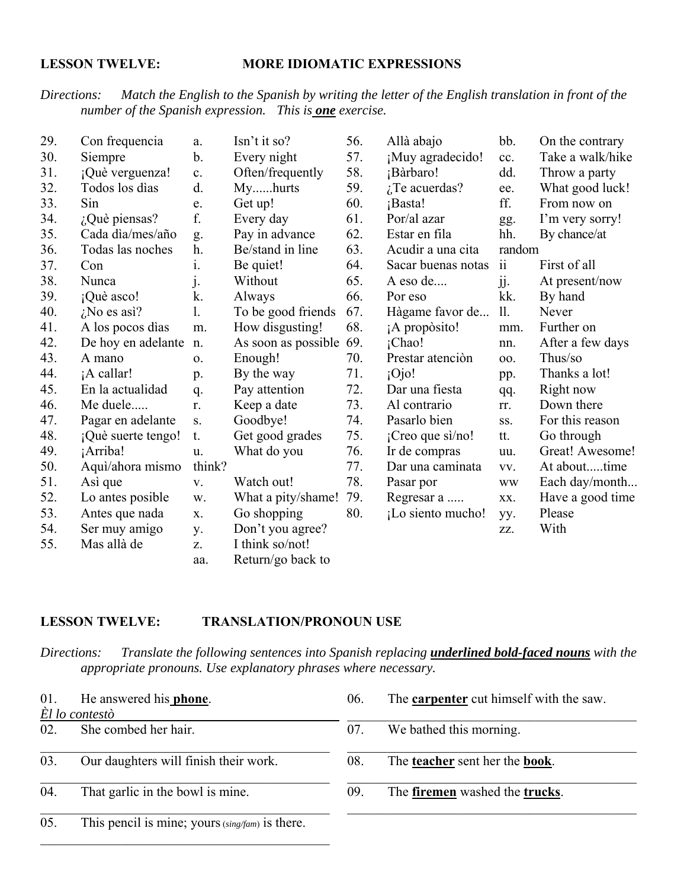# **LESSON TWELVE: MORE IDIOMATIC EXPRESSIONS**

# *Directions: Match the English to the Spanish by writing the letter of the English translation in front of the number of the Spanish expression. This is one exercise.*

| 29. | Con frequencia     | a.             | Isn't it so?        | 56. | Allà abajo          | bb.                 | On the contrary  |
|-----|--------------------|----------------|---------------------|-----|---------------------|---------------------|------------------|
| 30. | Siempre            | b.             | Every night         | 57. | ¡Muy agradecido!    | cc.                 | Take a walk/hike |
| 31. | ¡Què verguenza!    | c.             | Often/frequently    | 58. | ¡Bàrbaro!           | dd.                 | Throw a party    |
| 32. | Todos los dìas     | d.             | Myhurts             | 59. | $i$ Te acuerdas?    | ee.                 | What good luck!  |
| 33. | Sin                | e.             | Get up!             | 60. | ¡Basta!             | ff.                 | From now on      |
| 34. | $i$ Què piensas?   | f.             | Every day           | 61. | Por/al azar         | gg.                 | I'm very sorry!  |
| 35. | Cada dìa/mes/año   | g.             | Pay in advance      | 62. | Estar en fila       | hh.                 | By chance/at     |
| 36. | Todas las noches   | h.             | Be/stand in line    | 63. | Acudir a una cita   | random              |                  |
| 37. | Con                | 1.             | Be quiet!           | 64. | Sacar buenas notas  | $\ddot{\mathbf{i}}$ | First of all     |
| 38. | Nunca              | $\mathbf{j}$ . | Without             | 65. | A eso de            | jj.                 | At present/now   |
| 39. | ¡Què asco!         | k.             | Always              | 66. | Por eso             | kk.                 | By hand          |
| 40. | $i$ No es asi?     | 1.             | To be good friends  | 67. | Hàgame favor de     | 11.                 | Never            |
| 41. | A los pocos días   | m.             | How disgusting!     | 68. | ¡A propòsito!       | mm.                 | Further on       |
| 42. | De hoy en adelante | n.             | As soon as possible | 69. | ¡Chao!              | nn.                 | After a few days |
| 43. | A mano             | 0.             | Enough!             | 70. | Prestar atención    | 00.                 | Thus/so          |
| 44. | ¡A callar!         | p.             | By the way          | 71. | $i$ Ojo!            | pp.                 | Thanks a lot!    |
| 45. | En la actualidad   | q.             | Pay attention       | 72. | Dar una fiesta      | qq.                 | Right now        |
| 46. | Me duele           | r.             | Keep a date         | 73. | Al contrario        | rr.                 | Down there       |
| 47. | Pagar en adelante  | S.             | Goodbye!            | 74. | Pasarlo bien        | SS.                 | For this reason  |
| 48. | ¡Què suerte tengo! | t.             | Get good grades     | 75. | $iC$ reo que si/no! | tt.                 | Go through       |
| 49. | ¡Arriba!           | u.             | What do you         | 76. | Ir de compras       | uu.                 | Great! Awesome!  |
| 50. | Aquì/ahora mismo   | think?         |                     | 77. | Dar una caminata    | VV.                 | At abouttime     |
| 51. | Asi que            | V.             | Watch out!          | 78. | Pasar por           | <b>WW</b>           | Each day/month   |
| 52. | Lo antes posible   | W.             | What a pity/shame!  | 79. | Regresar a          | XX.                 | Have a good time |
| 53. | Antes que nada     | X.             | Go shopping         | 80. | ¡Lo siento mucho!   | yy.                 | Please           |
| 54. | Ser muy amigo      | у.             | Don't you agree?    |     |                     | ZZ.                 | With             |
| 55. | Mas allà de        | Z.             | I think so/not!     |     |                     |                     |                  |
|     |                    | aa.            | Return/go back to   |     |                     |                     |                  |

# **LESSON TWELVE: TRANSLATION/PRONOUN USE**

*Directions:* Translate the following sentences into Spanish replacing *underlined bold-faced nouns* with the  *appropriate pronouns. Use explanatory phrases where necessary.*

| 01. | He answered his <b>phone</b> .                  | 06. | The <b>carpenter</b> cut himself with the saw. |
|-----|-------------------------------------------------|-----|------------------------------------------------|
|     | $\hat{E}$ l lo contestò                         |     |                                                |
| 02. | She combed her hair.                            | 07. | We bathed this morning.                        |
| 03. | Our daughters will finish their work.           | 08. | The <b>teacher</b> sent her the <b>book</b> .  |
| 04. | That garlic in the bowl is mine.                | 09. | The firemen washed the trucks.                 |
| 05. | This pencil is mine; yours (sing/fam) is there. |     |                                                |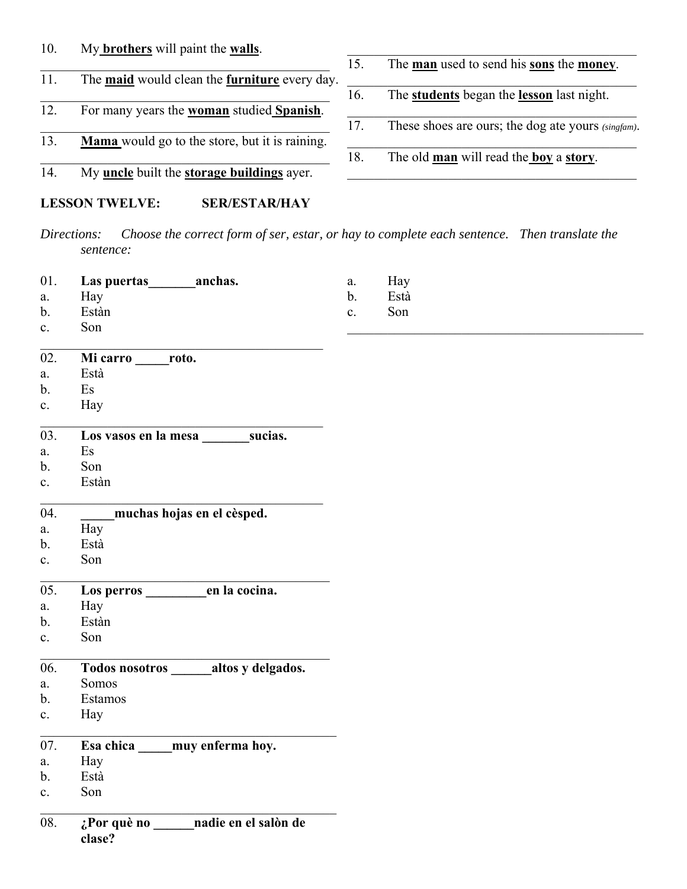# 10. My **brothers** will paint the **walls**.

- 11. The **maid** would clean the **furniture** every day.
- 12. For many years the **woman** studied **Spanish**.
- 13. **Mama** would go to the store, but it is raining.
- 14. My **uncle** built the **storage buildings** ayer.

# **LESSON TWELVE: SER/ESTAR/HAY**

- 15. The **man** used to send his **sons** the **money**.
- 16. The **students** began the **lesson** last night.
- 17. These shoes are ours; the dog ate yours *(singfam)*.
- 18. The old **man** will read the **boy** a **story**.

*Directions: Choose the correct form of ser, estar, or hay to complete each sentence. Then translate the sentence:*

|    | 01. Las puertas | <b>Example 1</b> anchas. | a. | Hay  |
|----|-----------------|--------------------------|----|------|
| a. | Hay             |                          |    | Està |
| b. | Estàn           |                          |    | Son  |

c. Son

| 02.            | Mi carro | roto. |  |
|----------------|----------|-------|--|
| a.             | Està     |       |  |
| b.             | Es       |       |  |
| $\mathbf{c}$ . | Hay      |       |  |
| $\sim$         |          |       |  |

| 03. | Los vasos en la mesa | sucias. |
|-----|----------------------|---------|
| a.  | - Es                 |         |

- b. Son
- c. Estàn

| 04. | muchas hojas en el cèsped. |
|-----|----------------------------|
|     | Hay                        |

- b. Està
- c. Son
- 05. **Los perros \_\_\_\_\_\_\_\_\_en la cocina.**
- a. Hay
- b. Estàn
- c. Son

# 06. **Todos nosotros \_\_\_\_\_\_altos y delgados.**

- a. Somos
- b. Estamos
- c. Hay

| 07. | Esa chica | muy enferma hoy. |
|-----|-----------|------------------|
|-----|-----------|------------------|

- a. Hay
- b. Està
- c. Son

# 08. **¿Por què no \_\_\_\_\_\_nadie en el salòn de clase?**